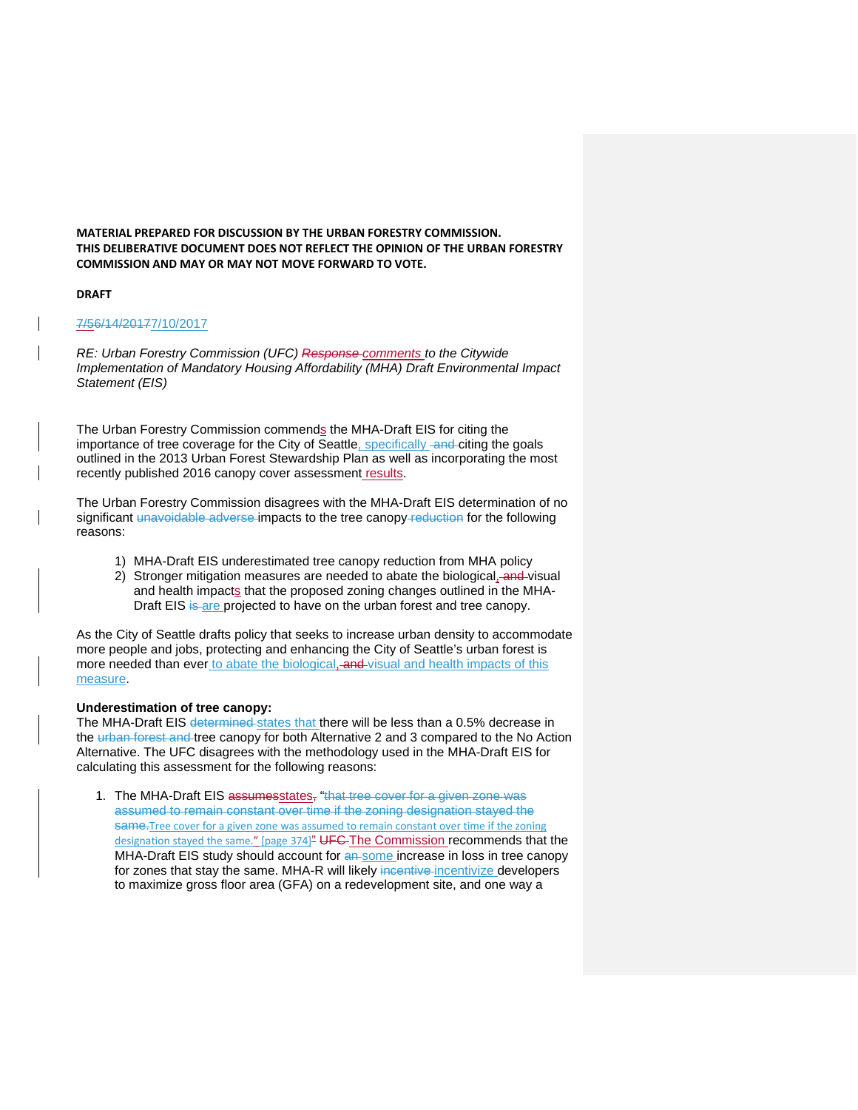**MATERIAL PREPARED FOR DISCUSSION BY THE URBAN FORESTRY COMMISSION. THIS DELIBERATIVE DOCUMENT DOES NOT REFLECT THE OPINION OF THE URBAN FORESTRY COMMISSION AND MAY OR MAY NOT MOVE FORWARD TO VOTE.**

## **DRAFT**

## 7/56/14/20177/10/2017

*RE: Urban Forestry Commission (UFC) Response comments to the Citywide Implementation of Mandatory Housing Affordability (MHA) Draft Environmental Impact Statement (EIS)*

The Urban Forestry Commission commends the MHA-Draft EIS for citing the importance of tree coverage for the City of Seattle, specifically and citing the goals outlined in the 2013 Urban Forest Stewardship Plan as well as incorporating the most recently published 2016 canopy cover assessment results.

The Urban Forestry Commission disagrees with the MHA-Draft EIS determination of no significant unavoidable adverse impacts to the tree canopy-reduction for the following reasons:

- 1) MHA-Draft EIS underestimated tree canopy reduction from MHA policy
- 2) Stronger mitigation measures are needed to abate the biological, and visual and health impacts that the proposed zoning changes outlined in the MHA-Draft EIS is are projected to have on the urban forest and tree canopy.

As the City of Seattle drafts policy that seeks to increase urban density to accommodate more people and jobs, protecting and enhancing the City of Seattle's urban forest is more needed than ever to abate the biological, and visual and health impacts of this measure.

## **Underestimation of tree canopy:**

The MHA-Draft EIS determined states that there will be less than a 0.5% decrease in the urban forest and tree canopy for both Alternative 2 and 3 compared to the No Action Alternative. The UFC disagrees with the methodology used in the MHA-Draft EIS for calculating this assessment for the following reasons:

1. The MHA-Draft EIS assumesstates, "that tree cover for a given zone was assumed to remain constant over time if the zoning designation stayed the same.Tree cover for a given zone was assumed to remain constant over time if the zoning designation stayed the same." [page 374]<sup>"</sup> UFG-The Commission recommends that the MHA-Draft EIS study should account for an some increase in loss in tree canopy for zones that stay the same. MHA-R will likely incentive-incentivize developers to maximize gross floor area (GFA) on a redevelopment site, and one way a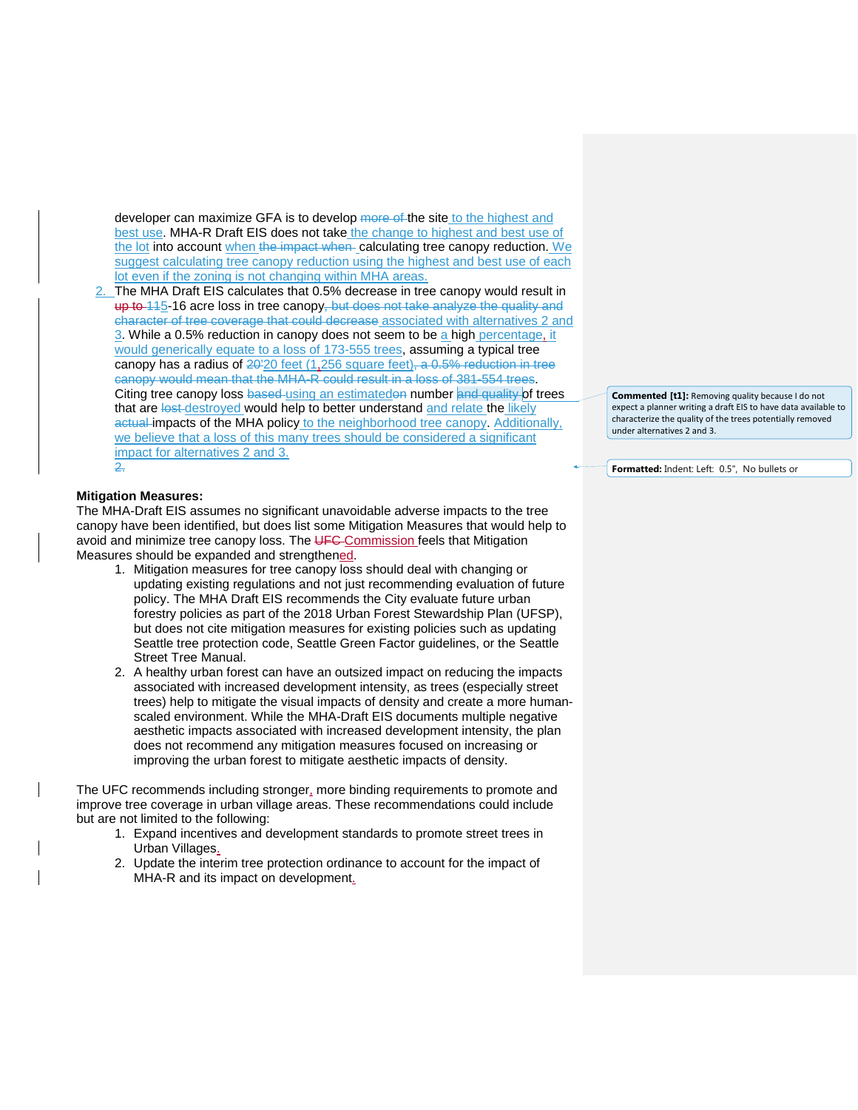developer can maximize GFA is to develop more of the site to the highest and best use. MHA-R Draft EIS does not take the change to highest and best use of the lot into account when the impact when calculating tree canopy reduction. We suggest calculating tree canopy reduction using the highest and best use of each lot even if the zoning is not changing within MHA areas.

2. The MHA Draft EIS calculates that 0.5% decrease in tree canopy would result in up to 115-16 acre loss in tree canopy, but does not take analyze the quality and character of tree coverage that could decrease associated with alternatives 2 and 3. While a 0.5% reduction in canopy does not seem to be a high percentage, it would generically equate to a loss of 173-555 trees, assuming a typical tree canopy has a radius of  $20^{120}$  feet (1,256 square feet), a 0.5% reduction in tree canopy would mean that the MHA-R could result in a loss of 381-554 trees. Citing tree canopy loss based-using an estimatedon number and quality of trees that are lost destroyed would help to better understand and relate the likely actual impacts of the MHA policy to the neighborhood tree canopy. Additionally, we believe that a loss of this many trees should be considered a significant impact for alternatives 2 and 3. 2.

## **Mitigation Measures:**

The MHA-Draft EIS assumes no significant unavoidable adverse impacts to the tree canopy have been identified, but does list some Mitigation Measures that would help to avoid and minimize tree canopy loss. The UFC Commission feels that Mitigation Measures should be expanded and strengthened.

- 1. Mitigation measures for tree canopy loss should deal with changing or updating existing regulations and not just recommending evaluation of future policy. The MHA Draft EIS recommends the City evaluate future urban forestry policies as part of the 2018 Urban Forest Stewardship Plan (UFSP), but does not cite mitigation measures for existing policies such as updating Seattle tree protection code, Seattle Green Factor guidelines, or the Seattle Street Tree Manual.
- 2. A healthy urban forest can have an outsized impact on reducing the impacts associated with increased development intensity, as trees (especially street trees) help to mitigate the visual impacts of density and create a more humanscaled environment. While the MHA-Draft EIS documents multiple negative aesthetic impacts associated with increased development intensity, the plan does not recommend any mitigation measures focused on increasing or improving the urban forest to mitigate aesthetic impacts of density.

The UFC recommends including stronger, more binding requirements to promote and improve tree coverage in urban village areas. These recommendations could include but are not limited to the following:

- 1. Expand incentives and development standards to promote street trees in Urban Villages.
- 2. Update the interim tree protection ordinance to account for the impact of MHA-R and its impact on development.

**Commented [t1]:** Removing quality because I do not expect a planner writing a draft EIS to have data available to characterize the quality of the trees potentially removed under alternatives 2 and 3.

**Formatted:** Indent: Left: 0.5", No bullets or